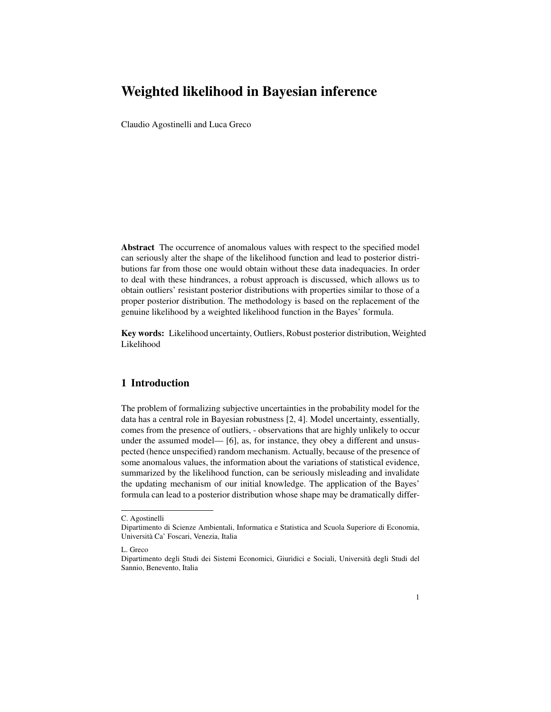# Weighted likelihood in Bayesian inference

Claudio Agostinelli and Luca Greco

Abstract The occurrence of anomalous values with respect to the specified model can seriously alter the shape of the likelihood function and lead to posterior distributions far from those one would obtain without these data inadequacies. In order to deal with these hindrances, a robust approach is discussed, which allows us to obtain outliers' resistant posterior distributions with properties similar to those of a proper posterior distribution. The methodology is based on the replacement of the genuine likelihood by a weighted likelihood function in the Bayes' formula.

Key words: Likelihood uncertainty, Outliers, Robust posterior distribution, Weighted Likelihood

## 1 Introduction

The problem of formalizing subjective uncertainties in the probability model for the data has a central role in Bayesian robustness [2, 4]. Model uncertainty, essentially, comes from the presence of outliers, - observations that are highly unlikely to occur under the assumed model— [6], as, for instance, they obey a different and unsuspected (hence unspecified) random mechanism. Actually, because of the presence of some anomalous values, the information about the variations of statistical evidence, summarized by the likelihood function, can be seriously misleading and invalidate the updating mechanism of our initial knowledge. The application of the Bayes' formula can lead to a posterior distribution whose shape may be dramatically differ-

C. Agostinelli

Dipartimento di Scienze Ambientali, Informatica e Statistica and Scuola Superiore di Economia, Universita Ca' Foscari, Venezia, Italia `

L. Greco

Dipartimento degli Studi dei Sistemi Economici, Giuridici e Sociali, Universita degli Studi del ` Sannio, Benevento, Italia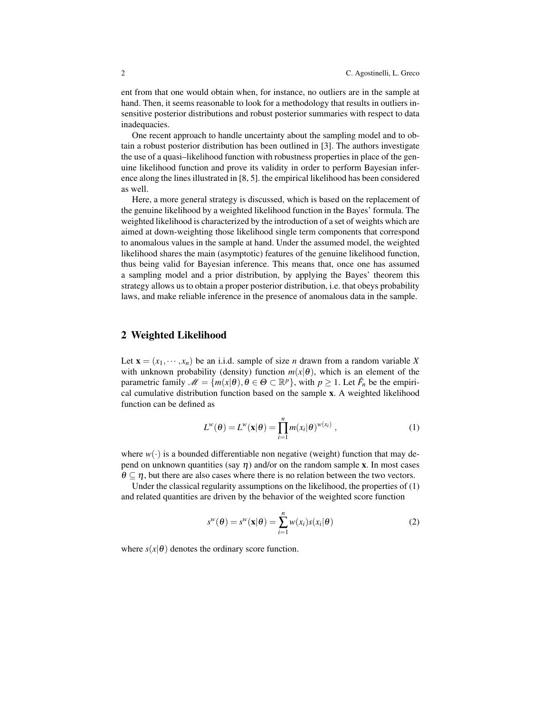ent from that one would obtain when, for instance, no outliers are in the sample at hand. Then, it seems reasonable to look for a methodology that results in outliers insensitive posterior distributions and robust posterior summaries with respect to data inadequacies.

One recent approach to handle uncertainty about the sampling model and to obtain a robust posterior distribution has been outlined in [3]. The authors investigate the use of a quasi–likelihood function with robustness properties in place of the genuine likelihood function and prove its validity in order to perform Bayesian inference along the lines illustrated in [8, 5]. the empirical likelihood has been considered as well.

Here, a more general strategy is discussed, which is based on the replacement of the genuine likelihood by a weighted likelihood function in the Bayes' formula. The weighted likelihood is characterized by the introduction of a set of weights which are aimed at down-weighting those likelihood single term components that correspond to anomalous values in the sample at hand. Under the assumed model, the weighted likelihood shares the main (asymptotic) features of the genuine likelihood function, thus being valid for Bayesian inference. This means that, once one has assumed a sampling model and a prior distribution, by applying the Bayes' theorem this strategy allows us to obtain a proper posterior distribution, i.e. that obeys probability laws, and make reliable inference in the presence of anomalous data in the sample.

#### 2 Weighted Likelihood

Let  $\mathbf{x} = (x_1, \dots, x_n)$  be an i.i.d. sample of size *n* drawn from a random variable X with unknown probability (density) function  $m(x|\theta)$ , which is an element of the parametric family  $\mathscr{M} = \{m(x|\theta), \theta \in \Theta \subset \mathbb{R}^p\}$ , with  $p \geq 1$ . Let  $\hat{F}_n$  be the empirical cumulative distribution function based on the sample x. A weighted likelihood function can be defined as

$$
L^w(\boldsymbol{\theta}) = L^w(\mathbf{x}|\boldsymbol{\theta}) = \prod_{i=1}^n m(x_i|\boldsymbol{\theta})^{w(x_i)},
$$
\n(1)

where  $w(\cdot)$  is a bounded differentiable non negative (weight) function that may depend on unknown quantities (say  $\eta$ ) and/or on the random sample x. In most cases  $\theta \subseteq \eta$ , but there are also cases where there is no relation between the two vectors.

Under the classical regularity assumptions on the likelihood, the properties of  $(1)$ and related quantities are driven by the behavior of the weighted score function

$$
s^{w}(\theta) = s^{w}(\mathbf{x}|\theta) = \sum_{i=1}^{n} w(x_i)s(x_i|\theta)
$$
 (2)

where  $s(x|\theta)$  denotes the ordinary score function.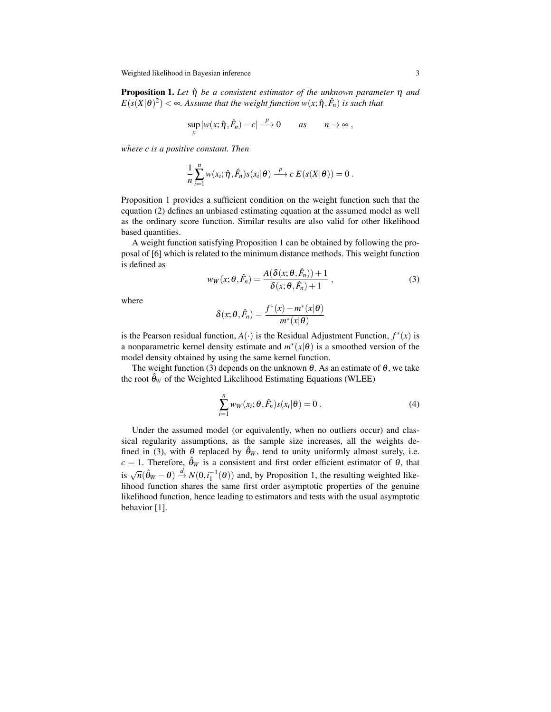Weighted likelihood in Bayesian inference 3

Proposition 1. *Let* ηˆ *be a consistent estimator of the unknown parameter* η *and*  $E(s(X|\theta)^2) < \infty$ . Assume that the weight function  $w(x; \hat{\eta}, \hat{F}_n)$  is such that

$$
\sup_{x}|w(x;\hat{\eta},\hat{F}_n)-c|\xrightarrow{p}0\qquad as\qquad n\to\infty,
$$

*where c is a positive constant. Then*

$$
\frac{1}{n}\sum_{i=1}^n w(x_i;\hat{\eta},\hat{F}_n)s(x_i|\theta) \stackrel{p}{\longrightarrow} c E(s(X|\theta)) = 0.
$$

Proposition 1 provides a sufficient condition on the weight function such that the equation (2) defines an unbiased estimating equation at the assumed model as well as the ordinary score function. Similar results are also valid for other likelihood based quantities.

A weight function satisfying Proposition 1 can be obtained by following the proposal of [6] which is related to the minimum distance methods. This weight function is defined as

$$
w_W(x; \theta, \hat{F}_n) = \frac{A(\delta(x; \theta, \hat{F}_n)) + 1}{\delta(x; \theta, \hat{F}_n) + 1} ,
$$
\n(3)

where

$$
\delta(x; \theta, \hat{F}_n) = \frac{f^*(x) - m^*(x | \theta)}{m^*(x | \theta)}
$$

is the Pearson residual function,  $A(\cdot)$  is the Residual Adjustment Function,  $f^*(x)$  is a nonparametric kernel density estimate and  $m^*(x|\theta)$  is a smoothed version of the model density obtained by using the same kernel function.

The weight function (3) depends on the unknown  $\theta$ . As an estimate of  $\theta$ , we take the root  $\hat{\theta}_W$  of the Weighted Likelihood Estimating Equations (WLEE)

$$
\sum_{i=1}^{n} w_W(x_i; \theta, \hat{F}_n) s(x_i | \theta) = 0.
$$
 (4)

Under the assumed model (or equivalently, when no outliers occur) and classical regularity assumptions, as the sample size increases, all the weights defined in (3), with  $\theta$  replaced by  $\hat{\theta}_W$ , tend to unity uniformly almost surely, i.e.  $c = 1$ . Therefore,  $\hat{\theta}_W$  is a consistent and first order efficient estimator of  $\theta$ , that is  $\sqrt{n}(\hat{\theta}_W - \theta) \stackrel{d}{\rightarrow} N(0, i_1^{-1}(\theta))$  and, by Proposition 1, the resulting weighted likelihood function shares the same first order asymptotic properties of the genuine likelihood function, hence leading to estimators and tests with the usual asymptotic behavior [1].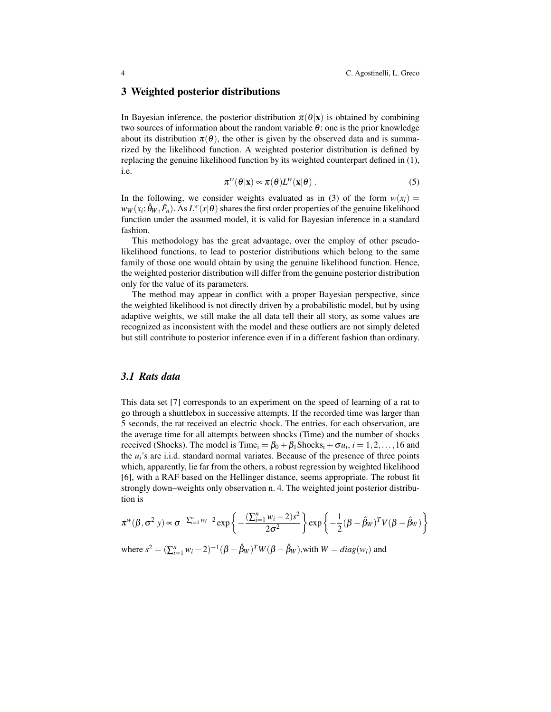#### 3 Weighted posterior distributions

In Bayesian inference, the posterior distribution  $\pi(\theta|\mathbf{x})$  is obtained by combining two sources of information about the random variable  $\theta$ : one is the prior knowledge about its distribution  $\pi(\theta)$ , the other is given by the observed data and is summarized by the likelihood function. A weighted posterior distribution is defined by replacing the genuine likelihood function by its weighted counterpart defined in (1), i.e.

$$
\pi^w(\theta|\mathbf{x}) \propto \pi(\theta) L^w(\mathbf{x}|\theta).
$$
 (5)

In the following, we consider weights evaluated as in (3) of the form  $w(x_i)$  $w_W(x_i; \hat{\theta}_W, \hat{F}_n)$ . As  $L^w(x|\theta)$  shares the first order properties of the genuine likelihood function under the assumed model, it is valid for Bayesian inference in a standard fashion.

This methodology has the great advantage, over the employ of other pseudolikelihood functions, to lead to posterior distributions which belong to the same family of those one would obtain by using the genuine likelihood function. Hence, the weighted posterior distribution will differ from the genuine posterior distribution only for the value of its parameters.

The method may appear in conflict with a proper Bayesian perspective, since the weighted likelihood is not directly driven by a probabilistic model, but by using adaptive weights, we still make the all data tell their all story, as some values are recognized as inconsistent with the model and these outliers are not simply deleted but still contribute to posterior inference even if in a different fashion than ordinary.

#### *3.1 Rats data*

This data set [7] corresponds to an experiment on the speed of learning of a rat to go through a shuttlebox in successive attempts. If the recorded time was larger than 5 seconds, the rat received an electric shock. The entries, for each observation, are the average time for all attempts between shocks (Time) and the number of shocks received (Shocks). The model is  $\text{Time}_{i} = \beta_0 + \beta_1 \text{Shocks}_{i} + \sigma u_i, i = 1, 2, ..., 16$  and the *ui*'s are i.i.d. standard normal variates. Because of the presence of three points which, apparently, lie far from the others, a robust regression by weighted likelihood [6], with a RAF based on the Hellinger distance, seems appropriate. The robust fit strongly down–weights only observation n. 4. The weighted joint posterior distribution is

$$
\pi^w(\beta, \sigma^2 | y) \propto \sigma^{-\sum_{i=1}^n w_i - 2} \exp\left\{-\frac{(\sum_{i=1}^n w_i - 2)s^2}{2\sigma^2}\right\} \exp\left\{-\frac{1}{2}(\beta - \hat{\beta}_W)^T V (\beta - \hat{\beta}_W)\right\}
$$

where  $s^2 = (\sum_{i=1}^n w_i - 2)^{-1} (\beta - \hat{\beta}_W)^T W (\beta - \hat{\beta}_W)$ , with  $W = diag(w_i)$  and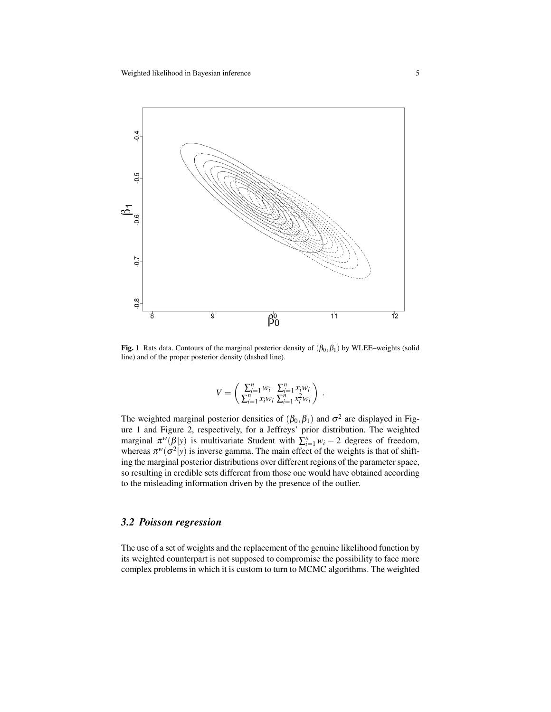

Fig. 1 Rats data. Contours of the marginal posterior density of  $(\beta_0, \beta_1)$  by WLEE–weights (solid line) and of the proper posterior density (dashed line).

$$
V = \begin{pmatrix} \sum_{i=1}^{n} w_i & \sum_{i=1}^{n} x_i w_i \\ \sum_{i=1}^{n} x_i w_i & \sum_{i=1}^{n} x_i^2 w_i \end{pmatrix}.
$$

The weighted marginal posterior densities of  $(\beta_0, \beta_1)$  and  $\sigma^2$  are displayed in Figure 1 and Figure 2, respectively, for a Jeffreys' prior distribution. The weighted marginal  $\pi^w(\beta|y)$  is multivariate Student with  $\sum_{i=1}^n w_i - 2$  degrees of freedom, whereas  $\pi^w(\sigma^2|y)$  is inverse gamma. The main effect of the weights is that of shifting the marginal posterior distributions over different regions of the parameter space, so resulting in credible sets different from those one would have obtained according to the misleading information driven by the presence of the outlier.

#### *3.2 Poisson regression*

The use of a set of weights and the replacement of the genuine likelihood function by its weighted counterpart is not supposed to compromise the possibility to face more complex problems in which it is custom to turn to MCMC algorithms. The weighted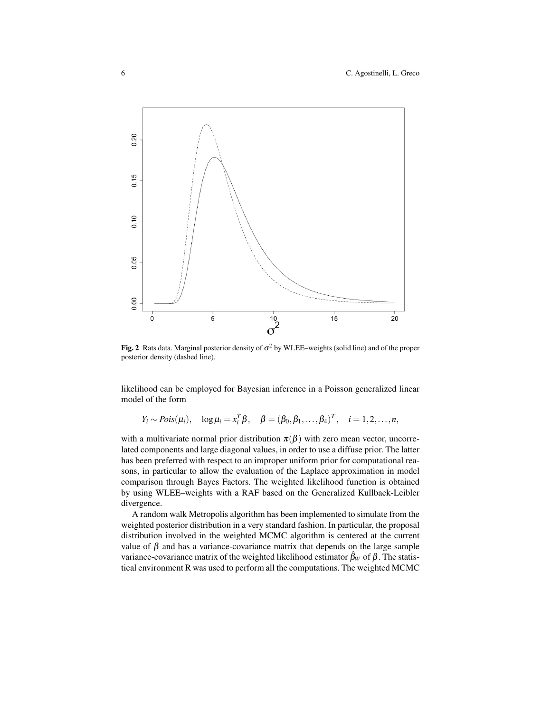#### 6 C. Agostinelli, L. Greco



Fig. 2 Rats data. Marginal posterior density of  $\sigma^2$  by WLEE–weights (solid line) and of the proper posterior density (dashed line).

likelihood can be employed for Bayesian inference in a Poisson generalized linear model of the form

$$
Y_i \sim Pois(\mu_i), \quad \log \mu_i = x_i^T \beta, \quad \beta = (\beta_0, \beta_1, \dots, \beta_4)^T, \quad i = 1, 2, \dots, n,
$$

with a multivariate normal prior distribution  $\pi(\beta)$  with zero mean vector, uncorrelated components and large diagonal values, in order to use a diffuse prior. The latter has been preferred with respect to an improper uniform prior for computational reasons, in particular to allow the evaluation of the Laplace approximation in model comparison through Bayes Factors. The weighted likelihood function is obtained by using WLEE–weights with a RAF based on the Generalized Kullback-Leibler divergence.

A random walk Metropolis algorithm has been implemented to simulate from the weighted posterior distribution in a very standard fashion. In particular, the proposal distribution involved in the weighted MCMC algorithm is centered at the current value of  $β$  and has a variance-covariance matrix that depends on the large sample variance-covariance matrix of the weighted likelihood estimator  $β<sub>W</sub>$  of  $β$ . The statistical environment R was used to perform all the computations. The weighted MCMC